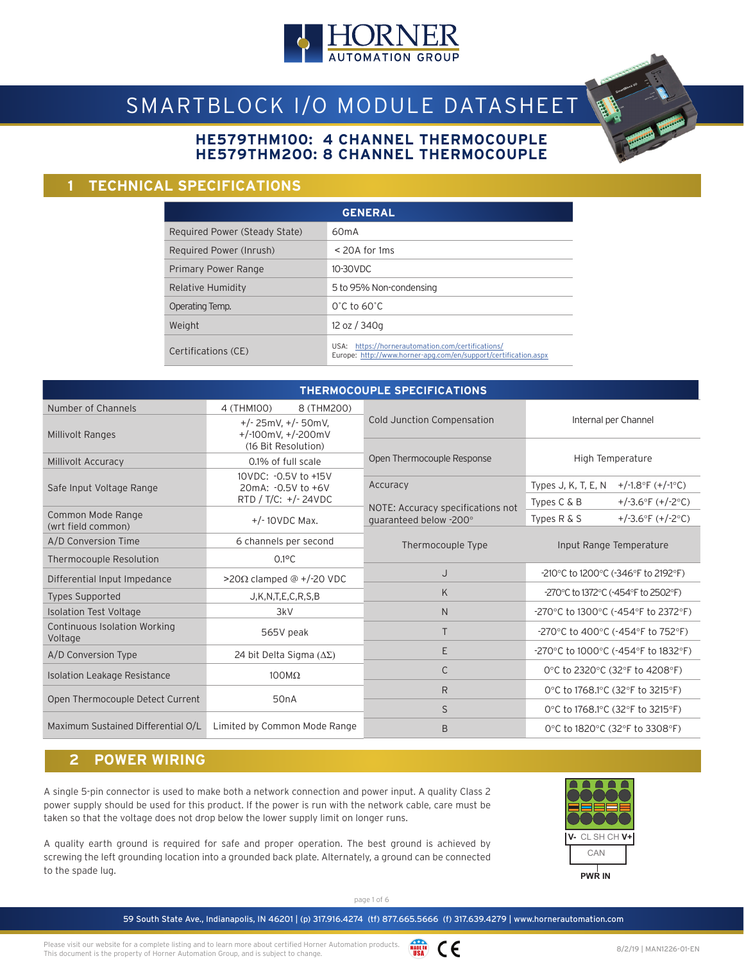

# SMARTBLOCK I/O MODULE DATASHEET

### **HE579THM100: 4 CHANNEL THERMOCOUPLE HE579THM200: 8 CHANNEL THERMOCOUPLE**

### **1 TECHNICAL SPECIFICATIONS**

|                               | <b>GENERAL</b>                                                                                                          |
|-------------------------------|-------------------------------------------------------------------------------------------------------------------------|
| Required Power (Steady State) | 60mA                                                                                                                    |
| Required Power (Inrush)       | $<$ 20A for 1 ms                                                                                                        |
| Primary Power Range           | 10-30VDC                                                                                                                |
| Relative Humidity             | 5 to 95% Non-condensing                                                                                                 |
| Operating Temp.               | $0^\circ$ C to 60 $^\circ$ C                                                                                            |
| Weight                        | 12 oz / 340g                                                                                                            |
| Certifications (CE)           | https://hornerautomation.com/certifications/<br>USA:<br>Europe: http://www.horner-apg.com/en/support/certification.aspx |

|                                                |                                                                       | <b>THERMOCOUPLE SPECIFICATIONS</b>                          |                                                                                      |  |  |  |  |
|------------------------------------------------|-----------------------------------------------------------------------|-------------------------------------------------------------|--------------------------------------------------------------------------------------|--|--|--|--|
| Number of Channels                             | 4 (THM100)<br>8 (THM200)                                              |                                                             |                                                                                      |  |  |  |  |
| <b>Millivolt Ranges</b>                        | $+/- 25mV, +/- 50mV,$<br>+/-100mV, $+/-200$ mV<br>(16 Bit Resolution) | Cold Junction Compensation                                  | Internal per Channel                                                                 |  |  |  |  |
| Millivolt Accuracy                             | 0.1% of full scale                                                    | Open Thermocouple Response                                  | High Temperature                                                                     |  |  |  |  |
| Safe Input Voltage Range                       | 10VDC: - 0.5V to +15V<br>20mA: -0.5V to +6V<br>RTD / T/C: +/-24VDC    | Accuracy                                                    | Types J, K, T, E, N<br>+/-1.8°F $(+/-1$ °C)<br>Types $C & B$<br>+/-3.6°F $(+/-2$ °C) |  |  |  |  |
| Common Mode Range<br>(wrt field common)        | $+/-10$ VDC Max.                                                      | NOTE: Accuracy specifications not<br>quaranteed below -200° | +/-3.6°F $(+/-2$ °C)<br>Types $R & S$                                                |  |  |  |  |
| A/D Conversion Time                            | 6 channels per second                                                 | Thermocouple Type                                           | Input Range Temperature                                                              |  |  |  |  |
| Thermocouple Resolution                        | $0.1$ °C                                                              |                                                             |                                                                                      |  |  |  |  |
| Differential Input Impedance                   | >20Ω clamped @ +/-20 VDC                                              | J                                                           | -210°C to 1200°C (-346°F to 2192°F)                                                  |  |  |  |  |
| <b>Types Supported</b>                         | J,K,N,T,E,C,R,S,B                                                     | K                                                           | -270°C to 1372°C (-454°F to 2502°F)                                                  |  |  |  |  |
| <b>Isolation Test Voltage</b>                  | 3kV                                                                   | $\mathsf{N}$                                                | -270°C to 1300°C (-454°F to 2372°F)                                                  |  |  |  |  |
| <b>Continuous Isolation Working</b><br>Voltage | 565V peak                                                             | T                                                           | -270°C to 400°C (-454°F to 752°F)                                                    |  |  |  |  |
| A/D Conversion Type                            | 24 bit Delta Sigma $(\Delta \Sigma)$                                  | E                                                           | -270°C to 1000°C (-454°F to 1832°F)                                                  |  |  |  |  |
| <b>Isolation Leakage Resistance</b>            | $100M\Omega$                                                          | C                                                           | 0°C to 2320°C (32°F to 4208°F)                                                       |  |  |  |  |
|                                                |                                                                       | R                                                           | 0°C to 1768.1°C (32°F to 3215°F)                                                     |  |  |  |  |
| Open Thermocouple Detect Current               | 50 <sub>n</sub> A                                                     | S                                                           | 0°C to 1768.1°C (32°F to 3215°F)                                                     |  |  |  |  |
| Maximum Sustained Differential O/L             | Limited by Common Mode Range                                          | B                                                           | 0°C to 1820°C (32°F to 3308°F)                                                       |  |  |  |  |

### **2 POWER WIRING**

A single 5-pin connector is used to make both a network connection and power input. A quality Class 2 power supply should be used for this product. If the power is run with the network cable, care must be taken so that the voltage does not drop below the lower supply limit on longer runs.

A quality earth ground is required for safe and proper operation. The best ground is achieved by screwing the left grounding location into a grounded back plate. Alternately, a ground can be connected to the spade lug.



page 1 of 6

Please visit our website for a complete listing and to learn more about certified Horner Automation products. This document is the property of Horner Automation Group, and is subject to change.

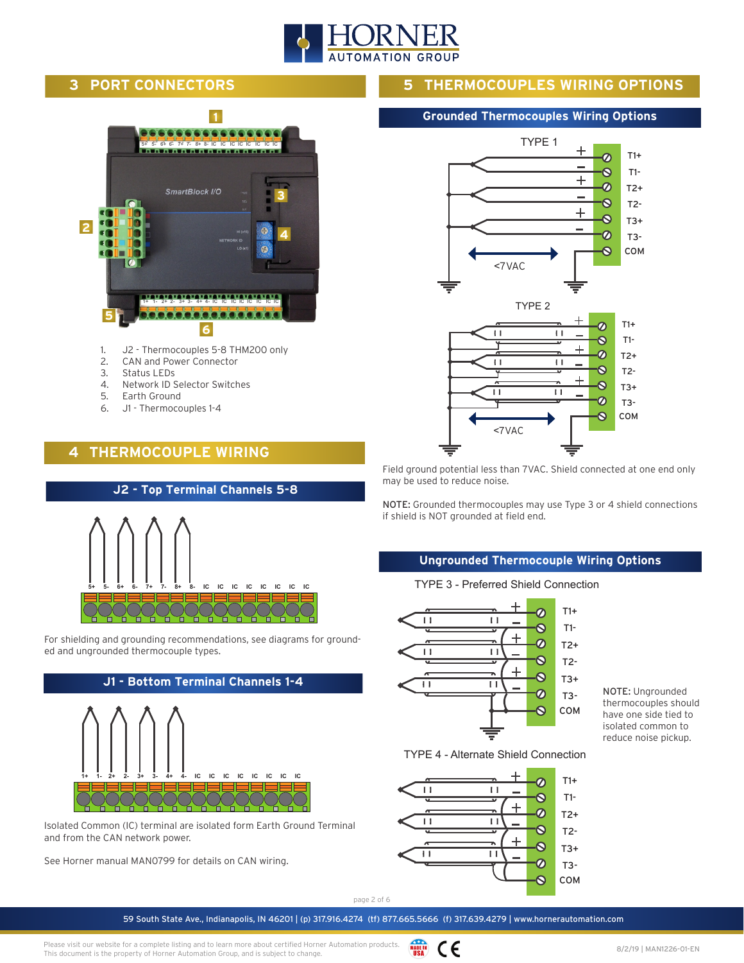

### **3 PORT CONNECTORS**



- 1. J2 Thermocouples 5-8 THM200 only
- 2. CAN and Power Connector
- 3. Status LEDs
- 4. Network ID Selector Switches
- 5. Earth Ground
- 6. J1 Thermocouples 1-4

### **4 THERMOCOUPLE WIRING**



For shielding and grounding recommendations, see diagrams for grounded and ungrounded thermocouple types.



Isolated Common (IC) terminal are isolated form Earth Ground Terminal and from the CAN network power.

See Horner manual MAN0799 for details on CAN wiring.

### **5 THERMOCOUPLES WIRING OPTIONS**

#### **Grounded Thermocouples Wiring Options**



Field ground potential less than 7VAC. Shield connected at one end only may be used to reduce noise.

NOTE: Grounded thermocouples may use Type 3 or 4 shield connections if shield is NOT grounded at field end.

#### **Ungrounded Thermocouple Wiring Options**

TYPE 3 - Preferred Shield Connection



NOTE: Ungrounded thermocouples should have one side tied to isolated common to reduce noise pickup.

TYPE 4 - Alternate Shield Connection



page 2 of 6

59 South State Ave., Indianapolis, IN 46201 | (p) 317.916.4274 (tf) 877.665.5666 (f) 317.639.4279 | www.hornerautomation.com

Please visit our website for a complete listing and to learn more about certified Horner Automation products. This document is the property of Horner Automation Group, and is subject to change.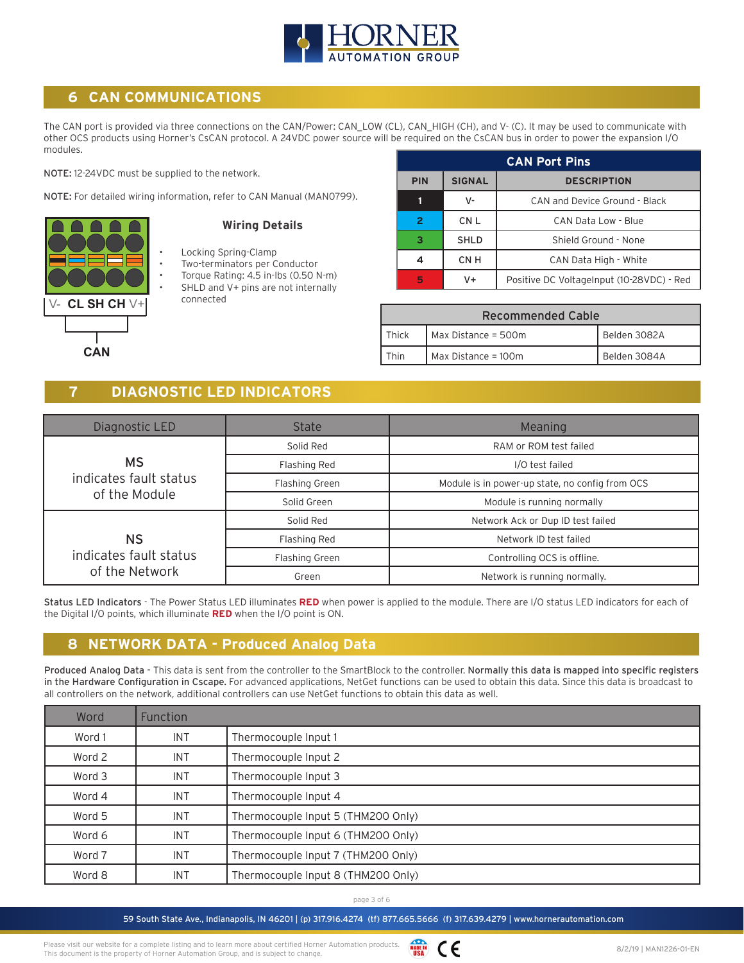

### **6 CAN COMMUNICATIONS**

The CAN port is provided via three connections on the CAN/Power: CAN\_LOW (CL), CAN\_HIGH (CH), and V- (C). It may be used to communicate with other OCS products using Horner's CsCAN protocol. A 24VDC power source will be required on the CsCAN bus in order to power the expansion I/O modules.

NOTE: 12-24VDC must be supplied to the network.

NOTE: For detailed wiring information, refer to CAN Manual (MAN0799).



#### **Wiring Details**

- Locking Spring-Clamp
- Two-terminators per Conductor
- Torque Rating: 4.5 in-lbs (0.50 N-m)
	- SHLD and V+ pins are not internally connected

|            | <b>CAN Port Pins</b> |                                           |  |  |  |  |  |  |  |  |  |
|------------|----------------------|-------------------------------------------|--|--|--|--|--|--|--|--|--|
| <b>PIN</b> | <b>SIGNAL</b>        | <b>DESCRIPTION</b>                        |  |  |  |  |  |  |  |  |  |
|            | V-                   | CAN and Device Ground - Black             |  |  |  |  |  |  |  |  |  |
|            | CN <sub>L</sub>      | CAN Data Low - Blue                       |  |  |  |  |  |  |  |  |  |
| з          | <b>SHLD</b>          | Shield Ground - None                      |  |  |  |  |  |  |  |  |  |
|            | CN H                 | CAN Data High - White                     |  |  |  |  |  |  |  |  |  |
| 5          | V+                   | Positive DC VoltageInput (10-28VDC) - Red |  |  |  |  |  |  |  |  |  |

| <b>Recommended Cable</b> |                       |              |  |  |  |  |  |  |  |
|--------------------------|-----------------------|--------------|--|--|--|--|--|--|--|
| Thick                    | Max Distance = 500m   | Belden 3082A |  |  |  |  |  |  |  |
| Thin                     | Max Distance = $100m$ | Belden 3084A |  |  |  |  |  |  |  |

### **7 DIAGNOSTIC LED INDICATORS**

| Diagnostic LED         | <b>State</b>          | Meaning                                         |  |  |  |  |
|------------------------|-----------------------|-------------------------------------------------|--|--|--|--|
|                        | Solid Red             | RAM or ROM test failed                          |  |  |  |  |
| <b>MS</b>              | Flashing Red          | I/O test failed                                 |  |  |  |  |
| indicates fault status | <b>Flashing Green</b> | Module is in power-up state, no config from OCS |  |  |  |  |
| of the Module          | Solid Green           | Module is running normally                      |  |  |  |  |
|                        | Solid Red             | Network Ack or Dup ID test failed               |  |  |  |  |
| <b>NS</b>              | Flashing Red          | Network ID test failed                          |  |  |  |  |
| indicates fault status | <b>Flashing Green</b> | Controlling OCS is offline.                     |  |  |  |  |
| of the Network         | Green                 | Network is running normally.                    |  |  |  |  |

Status LED Indicators - The Power Status LED illuminates **RED** when power is applied to the module. There are I/O status LED indicators for each of the Digital I/O points, which illuminate **RED** when the I/O point is ON.

### **8 NETWORK DATA - Produced Analog Data**

Produced Analog Data - This data is sent from the controller to the SmartBlock to the controller. Normally this data is mapped into specific registers in the Hardware Configuration in Cscape. For advanced applications, NetGet functions can be used to obtain this data. Since this data is broadcast to all controllers on the network, additional controllers can use NetGet functions to obtain this data as well.

| Word   | Function   |                                    |
|--------|------------|------------------------------------|
| Word 1 | <b>INT</b> | Thermocouple Input 1               |
| Word 2 | <b>INT</b> | Thermocouple Input 2               |
| Word 3 | <b>INT</b> | Thermocouple Input 3               |
| Word 4 | <b>INT</b> | Thermocouple Input 4               |
| Word 5 | <b>INT</b> | Thermocouple Input 5 (THM200 Only) |
| Word 6 | <b>INT</b> | Thermocouple Input 6 (THM200 Only) |
| Word 7 | <b>INT</b> | Thermocouple Input 7 (THM200 Only) |
| Word 8 | <b>INT</b> | Thermocouple Input 8 (THM200 Only) |

page 3 of 6

59 South State Ave., Indianapolis, IN 46201 | (p) 317.916.4274 (tf) 877.665.5666 (f) 317.639.4279 | www.hornerautomation.com

Please visit our website for a complete listing and to learn more about certified Horner Automation products. This document is the property of Horner Automation Group, and is subject to change.

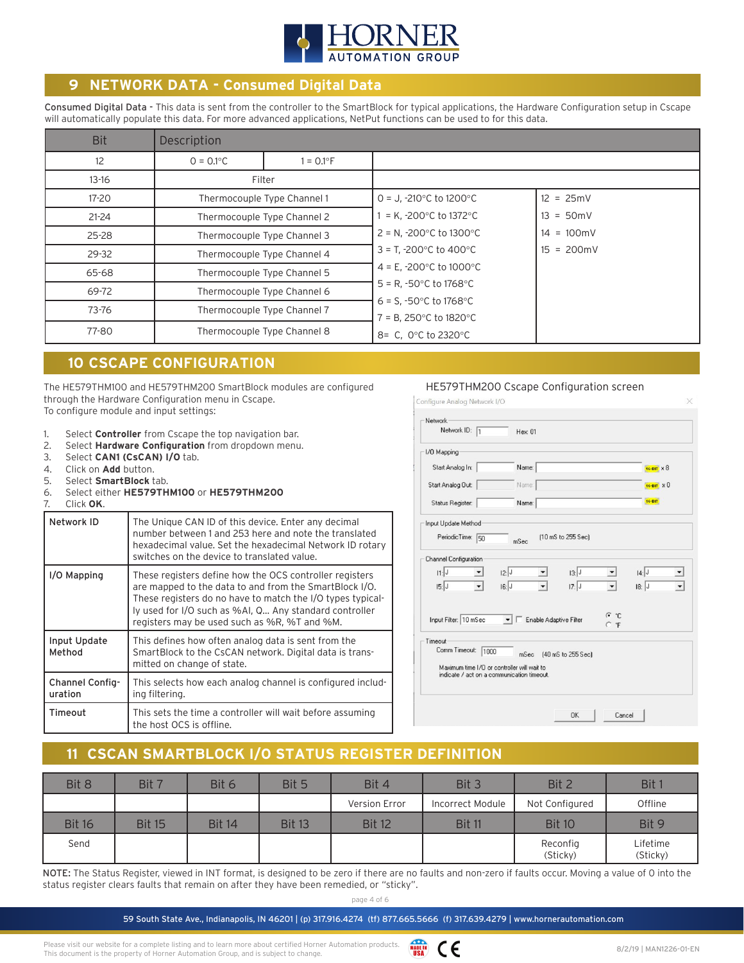

### **9 NETWORK DATA - Consumed Digital Data**

Consumed Digital Data - This data is sent from the controller to the SmartBlock for typical applications, the Hardware Configuration setup in Cscape will automatically populate this data. For more advanced applications, NetPut functions can be used to for this data.

| <b>Bit</b> | Description  |                             |                                                                                               |                      |  |  |  |  |
|------------|--------------|-----------------------------|-----------------------------------------------------------------------------------------------|----------------------|--|--|--|--|
| 12         | $0 = 0.1$ °C | $= 0.1^{\circ}$ F           |                                                                                               |                      |  |  |  |  |
| $13 - 16$  |              | Filter                      |                                                                                               |                      |  |  |  |  |
| 17-20      |              | Thermocouple Type Channel 1 | $0 = J$ , -210 $^{\circ}$ C to 1200 $^{\circ}$ C                                              | $12 = 25mV$          |  |  |  |  |
| $21 - 24$  |              | Thermocouple Type Channel 2 | = K, -200 $^{\circ}$ C to 1372 $^{\circ}$ C                                                   | $13 = 50 \text{mV}$  |  |  |  |  |
| $25 - 28$  |              | Thermocouple Type Channel 3 | $2 = N$ , -200 $^{\circ}$ C to 1300 $^{\circ}$ C                                              | $14 = 100 \text{mV}$ |  |  |  |  |
| 29-32      |              | Thermocouple Type Channel 4 | $3 = T, -200^{\circ}C$ to 400°C                                                               | $15 = 200 \text{mV}$ |  |  |  |  |
| 65-68      |              | Thermocouple Type Channel 5 | 4 = E, -200 $^{\circ}$ C to 1000 $^{\circ}$ C                                                 |                      |  |  |  |  |
| 69-72      |              | Thermocouple Type Channel 6 | $5 = R, -50^{\circ}C$ to 1768°C                                                               |                      |  |  |  |  |
| 73-76      |              | Thermocouple Type Channel 7 | 6 = S, -50 $^{\circ}$ C to 1768 $^{\circ}$ C<br>$7 = B$ , 250 $\degree$ C to 1820 $\degree$ C |                      |  |  |  |  |
| 77-80      |              | Thermocouple Type Channel 8 | 8= C, 0°C to 2320°C                                                                           |                      |  |  |  |  |

### **10 CSCAPE CONFIGURATION**

The HE579THM100 and HE579THM200 SmartBlock modules are configured through the Hardware Configuration menu in Cscape. To configure module and input settings:

- 1. Select **Controller** from Cscape the top navigation bar.
- 2. Select **Hardware Configuration** from dropdown menu.
- 3. Select **CAN1 (CsCAN) I/O** tab.
- 4. Click on **Add** button.
- 5. Select **SmartBlock** tab.
- 6. Select either **HE579THM100** or **HE579THM200**

| M<br>Click <b>G</b> . |  |
|-----------------------|--|
|                       |  |

| Network ID                 | The Unique CAN ID of this device. Enter any decimal<br>number between 1 and 253 here and note the translated<br>hexadecimal value. Set the hexadecimal Network ID rotary<br>switches on the device to translated value.                                                                   |
|----------------------------|-------------------------------------------------------------------------------------------------------------------------------------------------------------------------------------------------------------------------------------------------------------------------------------------|
| I/O Mapping                | These registers define how the OCS controller registers<br>are mapped to the data to and from the SmartBlock I/O.<br>These registers do no have to match the I/O types typical-<br>ly used for I/O such as %AI, Q Any standard controller<br>registers may be used such as %R, %T and %M. |
| Input Update<br>Method     | This defines how often analog data is sent from the<br>SmartBlock to the CsCAN network. Digital data is trans-<br>mitted on change of state.                                                                                                                                              |
| Channel Config-<br>uration | This selects how each analog channel is configured includ-<br>ing filtering.                                                                                                                                                                                                              |
| Timeout                    | This sets the time a controller will wait before assuming<br>the host OCS is offline.                                                                                                                                                                                                     |

#### HE579THM200 Cscape Configuration screen

| Network                                     |                                   |                                            |                    |       |                     |
|---------------------------------------------|-----------------------------------|--------------------------------------------|--------------------|-------|---------------------|
| Network ID: 1                               |                                   | Hex: 01                                    |                    |       |                     |
| 1/0 Mapping                                 |                                   |                                            |                    |       |                     |
| Start Analog In:                            |                                   | Name:                                      |                    |       | 16-BIT X 8          |
| Start Analog Out:                           |                                   | Name:                                      |                    |       | $16 - B17 \times 0$ |
| Status Register:                            |                                   | Name:                                      |                    |       | 16-BIT              |
| Input Update Method                         |                                   |                                            |                    |       |                     |
| PeriodicTime:                               | 50                                | mSec                                       | (10 mS to 255 Sec) |       |                     |
| <b>Channel Configuration</b>                |                                   |                                            |                    |       |                     |
| 11:J                                        | 2:                                |                                            | 3:                 |       | 4:                  |
| 15:J                                        | 6: J <br>$\overline{\phantom{a}}$ |                                            | 17:J               |       | $18:$ J             |
|                                             |                                   |                                            |                    | (•ົ*⊡ |                     |
| Input Filter: 10 mSec                       | $\mathbf{r}$                      | Enable Adaptive Filter                     |                    | C F   |                     |
| Timeout                                     |                                   |                                            |                    |       |                     |
| Comm Timeout:                               | 1000                              | mSec                                       | [40 mS to 255 Sec] |       |                     |
| Maximum time I/O or controller will wait to |                                   | indicate / act on a communication timeout. |                    |       |                     |
|                                             |                                   |                                            |                    |       |                     |
|                                             |                                   |                                            |                    |       |                     |

## **11 CSCAN SMARTBLOCK I/O STATUS REGISTER DEFINITION**

| Bit 8         | Bit 7         | Bit 6         | Bit 5         | Bit 4         | Bit 3            | Bit 2                | Bit 1                |
|---------------|---------------|---------------|---------------|---------------|------------------|----------------------|----------------------|
|               |               |               |               | Version Error | Incorrect Module | Not Configured       | Offline              |
| <b>Bit 16</b> | <b>Bit 15</b> | <b>Bit 14</b> | <b>Bit 13</b> | <b>Bit 12</b> | <b>Bit 11</b>    | <b>Bit 10</b>        | Bit 9                |
| Send          |               |               |               |               |                  | Reconfig<br>(Sticky) | Lifetime<br>(Sticky) |

NOTE: The Status Register, viewed in INT format, is designed to be zero if there are no faults and non-zero if faults occur. Moving a value of 0 into the status register clears faults that remain on after they have been remedied, or "sticky".

59 South State Ave., Indianapolis, IN 46201 | (p) 317.916.4274 (tf) 877.665.5666 (f) 317.639.4279 | www.hornerautomation.com

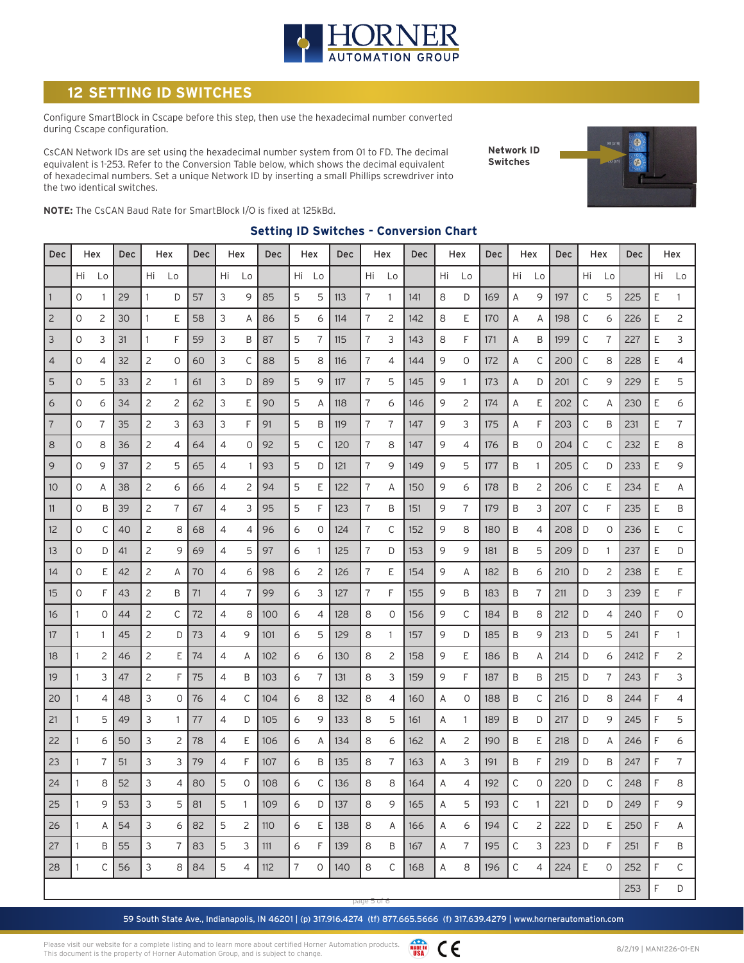

## **SETTING ID SWITCHES**

Configure SmartBlock in Cscape before this step, then use the hexadecimal number converted during Cscape configuration.

CsCAN Network IDs are set using the hexadecimal number system from 01 to FD. The decimal equivalent is 1-253. Refer to the Conversion Table below, which shows the decimal equivalent of hexadecimal numbers. Set a unique Network ID by inserting a small Phillips screwdriver into the two identical switches.

**Network ID Switches**



**NOTE:** The CsCAN Baud Rate for SmartBlock I/O is fixed at 125kBd.

| Dec            |              | Hex     | Dec |    | Hex            | Dec |    | Hex            | Dec             |                | Hex | Dec | Hex            |              | <b>Dec</b> |    | Hex | <b>Dec</b> |              | Hex      | Dec |              | Hex     | <b>Dec</b> |    | Hex |
|----------------|--------------|---------|-----|----|----------------|-----|----|----------------|-----------------|----------------|-----|-----|----------------|--------------|------------|----|-----|------------|--------------|----------|-----|--------------|---------|------------|----|-----|
|                | Hi           | Lo      |     | Hi | Lo             |     | Hi | Lo             |                 | Hi             | Lo  |     | Hi             | Lo           |            | Hi | Lo  |            | Hi           | Lo       |     | Hi           | Lo      |            | Hi | Lo  |
| $\sqrt{1}$     | $\circ$      |         | 29  | 1  | D              | 57  | 3  | 9              | 85              | 5              | 5   | 113 | 7              | 1.           | 141        | 8  | D   | 169        | Α            | 9        | 197 | C            | 5       | 225        | E  | 1   |
| $\overline{c}$ | 0            | 2       | 30  | 1  | Ε              | 58  | 3  | Α              | 86              | 5              | 6   | 114 | 7              | 2            | 142        | 8  | Ε   | 170        | Α            | Α        | 198 | С            | 6       | 226        | Ε  | 2   |
| $\mathsf 3$    | 0            | 3       | 31  | 1  | F              | 59  | 3  | B              | 87              | 5              | 7   | 115 | 7              | 3            | 143        | 8  | F   | 171        | Α            | Β        | 199 | С            | 7       | 227        | Ε  | 3   |
| $\overline{4}$ | 0            | 4       | 32  | 2  | 0              | 60  | 3  | C              | 88              | 5              | 8   | 116 | 7              | 4            | 144        | 9  | 0   | 172        | Α            | С        | 200 | С            | 8       | 228        | Ε  | 4   |
| 5              | $\circ$      | 5       | 33  | 2  | 1              | 61  | 3  | D              | 89              | 5              | 9   | 117 | $\overline{7}$ | 5            | 145        | 9  | 1   | 173        | Α            | D        | 201 | C            | 9       | 229        | E  | 5   |
| 6              | 0            | 6       | 34  | 2  | 2              | 62  | 3  | Ε              | 90              | 5              | Α   | 118 | 7              | 6            | 146        | 9  | 2   | 174        | Α            | Ε        | 202 | С            | Α       | 230        | Ε  | 6   |
| $ _7$          | 0            | 7       | 35  | 2  | 3              | 63  | 3  | F              | 91              | 5              | Β   | 119 | 7              | 7            | 147        | 9  | 3   | 175        | Α            | F        | 203 | C            | B       | 231        | Ε  | 7   |
| 8              | 0            | 8       | 36  | 2  | 4              | 64  | 4  | 0              | 92              | 5              | С   | 120 | 7              | 8            | 147        | 9  | 4   | 176        | B            | 0        | 204 | $\mathsf{C}$ | C       | 232        | Ε  | 8   |
| $\mathcal{G}$  | $\circ$      | 9       | 37  | 2  | 5              | 65  | 4  | -1             | 93              | 5              | D   | 121 | $\overline{7}$ | 9            | 149        | 9  | 5   | 177        | B            | 1        | 205 | $\mathsf{C}$ | D       | 233        | E  | 9   |
| 10             | 0            | Α       | 38  | 2  | 6              | 66  | 4  | $\overline{c}$ | 94              | 5              | Е   | 122 | $\overline{7}$ | Α            | 150        | 9  | 6   | 178        | B            | 2        | 206 | $\mathsf{C}$ | E       | 234        | E  | Α   |
| 11             | 0            | Β       | 39  | 2  | $\overline{7}$ | 67  | 4  | 3              | 95              | 5              | F   | 123 | 7              | B            | 151        | 9  | 7   | 179        | B            | 3        | 207 | С            | F       | 235        | Ε  | Β   |
| 12             | 0            | С       | 40  | 2  | 8              | 68  | 4  | 4              | 96              | 6              | 0   | 124 | 7              | С            | 152        | 9  | 8   | 180        | Β            | 4        | 208 | D            | 0       | 236        | Ε  | С   |
| 13             | 0            | D       | 41  | 2  | 9              | 69  | 4  | 5              | 97              | 6              | 1   | 125 | 7              | D            | 153        | 9  | 9   | 181        | Β            | 5        | 209 | D            | 1       | 237        | E  | D   |
| 14             | 0            | Ε       | 42  | 2  | Α              | 70  | 4  | 6              | 98              | 6              | 2   | 126 | 7              | Ε            | 154        | 9  | Α   | 182        | Β            | 6        | 210 | D            | 2       | 238        | Ε  | Ε   |
| 15             | $\mathbf{O}$ | F       | 43  | 2  | B              | 71  | 4  | $\overline{7}$ | 99              | 6              | 3   | 127 | $\overline{7}$ | F            | 155        | 9  | B   | 183        | B            | 7        | 211 | D            | 3       | 239        | E  | F   |
| 16             | 1            | $\circ$ | 44  | 2  | С              | 72  | 4  | 8              | 100             | 6              | 4   | 128 | 8              | 0            | 156        | 9  | C   | 184        | B            | 8        | 212 | D            | 4       | 240        | F  | 0   |
| 17             | 1            | 1       | 45  | 2  | D              | 73  | 4  | 9              | 101             | 6              | 5   | 129 | 8              | 1            | 157        | 9  | D   | 185        | B            | 9        | 213 | D            | 5       | 241        | F  | 1   |
| 18             | 1            | 2       | 46  | 2  | Е              | 74  | 4  | Α              | 10 <sub>2</sub> | 6              | 6   | 130 | 8              | 2            | 158        | 9  | Ε   | 186        | B            | Α        | 214 | D            | 6       | 2412       | F  | 2   |
| 19             | 1            | 3       | 47  | 2  | F              | 75  | 4  | B              | 103             | 6              | 7   | 131 | 8              | 3            | 159        | 9  | F   | 187        | B            | Β        | 215 | D            | 7       | 243        | F  | 3   |
| 20             | 1            | 4       | 48  | 3  | 0              | 76  | 4  | C              | 104             | 6              | 8   | 132 | 8              | 4            | 160        | Α  | 0   | 188        | B            | С        | 216 | D            | 8       | 244        | F  | 4   |
| 21             | 1            | 5       | 49  | 3  | $\mathbf{1}$   | 77  | 4  | D              | 105             | 6              | 9   | 133 | 8              | 5            | 161        | Α  | 1   | 189        | Β            | D        | 217 | D            | 9       | 245        | F  | 5   |
| 22             | 1            | 6       | 50  | 3  | 2              | 78  | 4  | Ε              | 106             | 6              | Α   | 134 | 8              | 6            | 162        | Α  | 2   | 190        | Β            | E        | 218 | D            | Α       | 246        | F  | 6   |
| 23             | 1            | 7       | 51  | 3  | 3              | 79  | 4  | F              | 107             | 6              | B   | 135 | 8              | 7            | 163        | Α  | 3   | 191        | B            | F        | 219 | D            | B       | 247        | F  | 7   |
| 24             | 1            | 8       | 52  | 3  | 4              | 80  | 5  | 0              | 108             | 6              | C   | 136 | 8              | 8            | 164        | Α  | 4   | 192        | $\mathsf{C}$ | $\Omega$ | 220 | D            | C       | 248        | F  | 8   |
| 25             | 1            | 9       | 53  | 3  | 5              | 81  | 5  | $\mathbf{1}$   | 109             | 6              | D   | 137 | 8              | 9            | 165        | Α  | 5   | 193        | $\mathsf C$  | 1        | 221 | D            | D       | 249        | F  | 9   |
| 26             | 1            | Α       | 54  | 3  | 6              | 82  | 5  | 2              | 110             | 6              | Ε   | 138 | 8              | A            | 166        | Α  | 6   | 194        | С            | 2        | 222 | D            | E.      | 250        | F  | Α   |
| 27             | 1            | B       | 55  | 3  | 7              | 83  | 5  | 3              | 111             | 6              | F   | 139 | 8              | B            | 167        | Α  | 7   | 195        | $\mathsf C$  | 3        | 223 | D            | F       | 251        | F  | Β   |
| 28             | 1            | C       | 56  | 3  | 8              | 84  | 5  | 4              | 112             | $\overline{7}$ | 0   | 140 | 8              | $\mathsf{C}$ | 168        | Α  | 8   | 196        | $\mathsf C$  | 4        | 224 | Ε            | $\circ$ | 252        | F  | C   |
|                |              |         |     |    |                |     |    |                |                 |                |     |     |                |              |            |    |     |            |              |          |     |              |         | 253        | F  | D   |

#### **Setting ID Switches - Conversion Chart**

59 South State Ave., Indianapolis, IN 46201 | (p) 317.916.4274 (tf) 877.665.5666 (f) 317.639.4279 | www.hornerautomation.com page 5 of 6